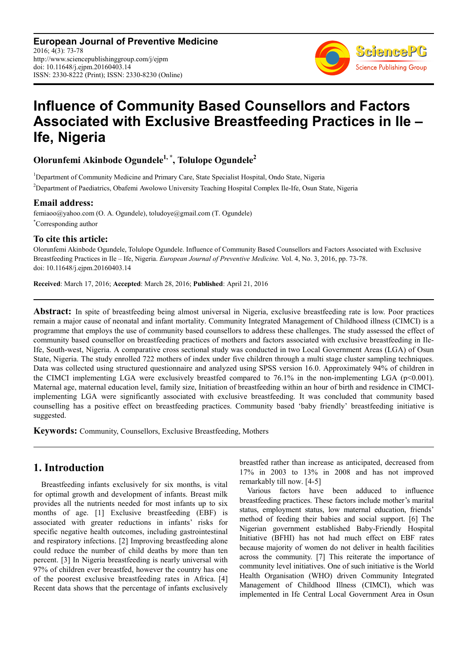**European Journal of Preventive Medicine** 2016; 4(3): 73-78 http://www.sciencepublishinggroup.com/j/ejpm doi: 10.11648/j.ejpm.20160403.14 ISSN: 2330-8222 (Print); ISSN: 2330-8230 (Online)



# **Influence of Community Based Counsellors and Factors Associated with Exclusive Breastfeeding Practices in Ile – Ife, Nigeria**

# **Olorunfemi Akinbode Ogundele1, \*, Tolulope Ogundele<sup>2</sup>**

<sup>1</sup>Department of Community Medicine and Primary Care, State Specialist Hospital, Ondo State, Nigeria <sup>2</sup>Department of Paediatrics, Obafemi Awolowo University Teaching Hospital Complex Ile-Ife, Osun State, Nigeria

### **Email address:**

femiaoo@yahoo.com (O. A. Ogundele), toludoye@gmail.com (T. Ogundele) \*Corresponding author

### **To cite this article:**

Olorunfemi Akinbode Ogundele, Tolulope Ogundele. Influence of Community Based Counsellors and Factors Associated with Exclusive Breastfeeding Practices in Ile – Ife, Nigeria. *European Journal of Preventive Medicine.* Vol. 4, No. 3, 2016, pp. 73-78. doi: 10.11648/j.ejpm.20160403.14

**Received**: March 17, 2016; **Accepted**: March 28, 2016; **Published**: April 21, 2016

**Abstract:** In spite of breastfeeding being almost universal in Nigeria, exclusive breastfeeding rate is low. Poor practices remain a major cause of neonatal and infant mortality. Community Integrated Management of Childhood illness (CIMCI) is a programme that employs the use of community based counsellors to address these challenges. The study assessed the effect of community based counsellor on breastfeeding practices of mothers and factors associated with exclusive breastfeeding in Ile-Ife, South-west, Nigeria. A comparative cross sectional study was conducted in two Local Government Areas (LGA) of Osun State, Nigeria. The study enrolled 722 mothers of index under five children through a multi stage cluster sampling techniques. Data was collected using structured questionnaire and analyzed using SPSS version 16.0. Approximately 94% of children in the CIMCI implementing LGA were exclusively breastfed compared to 76.1% in the non-implementing LGA (p<0.001). Maternal age, maternal education level, family size, Initiation of breastfeeding within an hour of birth and residence in CIMCIimplementing LGA were significantly associated with exclusive breastfeeding. It was concluded that community based counselling has a positive effect on breastfeeding practices. Community based 'baby friendly' breastfeeding initiative is suggested.

**Keywords:** Community, Counsellors, Exclusive Breastfeeding, Mothers

## **1. Introduction**

Breastfeeding infants exclusively for six months, is vital for optimal growth and development of infants. Breast milk provides all the nutrients needed for most infants up to six months of age. [1] Exclusive breastfeeding (EBF) is associated with greater reductions in infants' risks for specific negative health outcomes, including gastrointestinal and respiratory infections. [2] Improving breastfeeding alone could reduce the number of child deaths by more than ten percent. [3] In Nigeria breastfeeding is nearly universal with 97% of children ever breastfed, however the country has one of the poorest exclusive breastfeeding rates in Africa. [4] Recent data shows that the percentage of infants exclusively

breastfed rather than increase as anticipated, decreased from 17% in 2003 to 13% in 2008 and has not improved remarkably till now. [4-5]

Various factors have been adduced to influence breastfeeding practices. These factors include mother's marital status, employment status, low maternal education, friends' method of feeding their babies and social support. [6] The Nigerian government established Baby-Friendly Hospital Initiative (BFHI) has not had much effect on EBF rates because majority of women do not deliver in health facilities across the community. [7] This reiterate the importance of community level initiatives. One of such initiative is the World Health Organisation (WHO) driven Community Integrated Management of Childhood Illness (CIMCI), which was implemented in Ife Central Local Government Area in Osun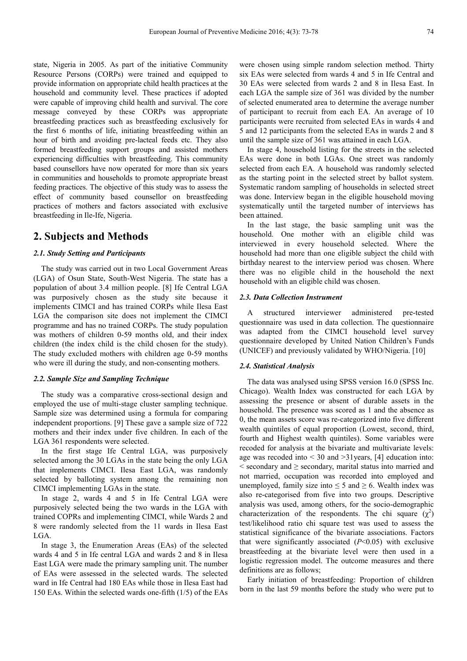state, Nigeria in 2005. As part of the initiative Community Resource Persons (CORPs) were trained and equipped to provide information on appropriate child health practices at the household and community level. These practices if adopted were capable of improving child health and survival. The core message conveyed by these CORPs was appropriate breastfeeding practices such as breastfeeding exclusively for the first 6 months of life, initiating breastfeeding within an hour of birth and avoiding pre-lacteal feeds etc. They also formed breastfeeding support groups and assisted mothers experiencing difficulties with breastfeeding. This community based counsellors have now operated for more than six years in communities and households to promote appropriate breast feeding practices. The objective of this study was to assess the effect of community based counsellor on breastfeeding practices of mothers and factors associated with exclusive breastfeeding in Ile-Ife, Nigeria.

### **2. Subjects and Methods**

#### *2.1. Study Setting and Participants*

The study was carried out in two Local Government Areas (LGA) of Osun State, South-West Nigeria. The state has a population of about 3.4 million people. [8] Ife Central LGA was purposively chosen as the study site because it implements CIMCI and has trained CORPs while Ilesa East LGA the comparison site does not implement the CIMCI programme and has no trained CORPs. The study population was mothers of children 0-59 months old, and their index children (the index child is the child chosen for the study). The study excluded mothers with children age 0-59 months who were ill during the study, and non-consenting mothers.

#### *2.2. Sample Size and Sampling Technique*

The study was a comparative cross-sectional design and employed the use of multi-stage cluster sampling technique. Sample size was determined using a formula for comparing independent proportions. [9] These gave a sample size of 722 mothers and their index under five children. In each of the LGA 361 respondents were selected.

In the first stage Ife Central LGA, was purposively selected among the 30 LGAs in the state being the only LGA that implements CIMCI. Ilesa East LGA, was randomly selected by balloting system among the remaining non CIMCI implementing LGAs in the state.

In stage 2, wards 4 and 5 in Ife Central LGA were purposively selected being the two wards in the LGA with trained COPRs and implementing CIMCI, while Wards 2 and 8 were randomly selected from the 11 wards in Ilesa East LGA.

In stage 3, the Enumeration Areas (EAs) of the selected wards 4 and 5 in Ife central LGA and wards 2 and 8 in Ilesa East LGA were made the primary sampling unit. The number of EAs were assessed in the selected wards. The selected ward in Ife Central had 180 EAs while those in Ilesa East had 150 EAs. Within the selected wards one-fifth (1/5) of the EAs were chosen using simple random selection method. Thirty six EAs were selected from wards 4 and 5 in Ife Central and 30 EAs were selected from wards 2 and 8 in Ilesa East. In each LGA the sample size of 361 was divided by the number of selected enumerated area to determine the average number of participant to recruit from each EA. An average of 10 participants were recruited from selected EAs in wards 4 and 5 and 12 participants from the selected EAs in wards 2 and 8 until the sample size of 361 was attained in each LGA.

In stage 4, household listing for the streets in the selected EAs were done in both LGAs. One street was randomly selected from each EA. A household was randomly selected as the starting point in the selected street by ballot system. Systematic random sampling of households in selected street was done. Interview began in the eligible household moving systematically until the targeted number of interviews has been attained.

In the last stage, the basic sampling unit was the household. One mother with an eligible child was interviewed in every household selected. Where the household had more than one eligible subject the child with birthday nearest to the interview period was chosen. Where there was no eligible child in the household the next household with an eligible child was chosen.

#### *2.3. Data Collection Instrument*

A structured interviewer administered pre-tested questionnaire was used in data collection. The questionnaire was adapted from the CIMCI household level survey questionnaire developed by United Nation Children's Funds (UNICEF) and previously validated by WHO/Nigeria. [10]

#### *2.4. Statistical Analysis*

The data was analysed using SPSS version 16.0 (SPSS Inc. Chicago). Wealth Index was constructed for each LGA by assessing the presence or absent of durable assets in the household. The presence was scored as 1 and the absence as 0, the mean assets score was re-categorized into five different wealth quintiles of equal proportion (Lowest, second, third, fourth and Highest wealth quintiles). Some variables were recoded for analysis at the bivariate and multivariate levels: age was recoded into < 30 and >31years, [4] education into:  $\le$  secondary and  $\ge$  secondary, marital status into married and not married, occupation was recorded into employed and unemployed, family size into  $\leq 5$  and  $\geq 6$ . Wealth index was also re-categorised from five into two groups. Descriptive analysis was used, among others, for the socio-demographic characterization of the respondents. The chi square  $(\chi^2)$ test/likelihood ratio chi square test was used to assess the statistical significance of the bivariate associations. Factors that were significantly associated (*P*<0.05) with exclusive breastfeeding at the bivariate level were then used in a logistic regression model. The outcome measures and there definitions are as follows;

Early initiation of breastfeeding: Proportion of children born in the last 59 months before the study who were put to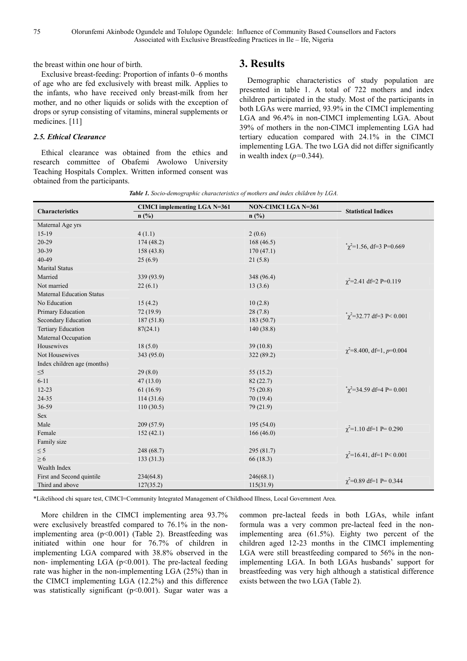the breast within one hour of birth.

Exclusive breast-feeding: Proportion of infants 0–6 months of age who are fed exclusively with breast milk. Applies to the infants, who have received only breast-milk from her mother, and no other liquids or solids with the exception of drops or syrup consisting of vitamins, mineral supplements or medicines. [11]

### *2.5. Ethical Clearance*

Ethical clearance was obtained from the ethics and research committee of Obafemi Awolowo University Teaching Hospitals Complex. Written informed consent was obtained from the participants.

### **3. Results**

Demographic characteristics of study population are presented in table 1. A total of 722 mothers and index children participated in the study. Most of the participants in both LGAs were married, 93.9% in the CIMCI implementing LGA and 96.4% in non-CIMCI implementing LGA. About 39% of mothers in the non-CIMCI implementing LGA had tertiary education compared with 24.1% in the CIMCI implementing LGA. The two LGA did not differ significantly in wealth index (*p=*0.344).

*Table 1. Socio-demographic characteristics of mothers and index children by LGA.* 

| <b>Characteristics</b>           | <b>CIMCI</b> implementing LGA N=361 | <b>NON-CIMCI LGA N=361</b> | <b>Statistical Indices</b>         |  |
|----------------------------------|-------------------------------------|----------------------------|------------------------------------|--|
|                                  | n(%)                                | n(%)                       |                                    |  |
| Maternal Age yrs                 |                                     |                            |                                    |  |
| $15-19$                          | 4(1.1)                              | 2(0.6)                     |                                    |  |
| $20-29$                          | 174(48.2)                           | 168(46.5)                  |                                    |  |
| 30-39                            | 158(43.8)                           | 170(47.1)                  | $\chi^2$ =1.56, df=3 P=0.669       |  |
| $40 - 49$                        | 25(6.9)                             | 21(5.8)                    |                                    |  |
| <b>Marital Status</b>            |                                     |                            |                                    |  |
| Married                          | 339 (93.9)                          | 348 (96.4)                 |                                    |  |
| Not married                      | 22(6.1)                             | 13(3.6)                    | $\chi^2$ =2.41 df=2 P=0.119        |  |
| <b>Maternal Education Status</b> |                                     |                            |                                    |  |
| No Education                     | 15(4.2)                             | 10(2.8)                    |                                    |  |
| Primary Education                | 72 (19.9)                           | 28(7.8)                    | $\chi^2$ =32.77 df=3 P< 0.001      |  |
| Secondary Education              | 187 (51.8)                          | 183 (50.7)                 |                                    |  |
| Tertiary Education               | 87(24.1)                            | 140(38.8)                  |                                    |  |
| Maternal Occupation              |                                     |                            |                                    |  |
| Housewives                       | 18(5.0)                             | 39(10.8)                   |                                    |  |
| Not Housewives                   | 343 (95.0)                          | 322 (89.2)                 | $\gamma^2 = 8.400$ , df=1, p=0.004 |  |
| Index children age (months)      |                                     |                            |                                    |  |
| $\leq 5$                         | 29(8.0)                             | 55(15.2)                   |                                    |  |
| $6 - 11$                         | 47(13.0)                            | 82(22.7)                   |                                    |  |
| $12 - 23$                        | 61(16.9)                            | 75(20.8)                   | $\chi^2$ =34.59 df=4 P= 0.001      |  |
| 24-35                            | 114(31.6)                           | 70(19.4)                   |                                    |  |
| 36-59                            | 110(30.5)                           | 79 (21.9)                  |                                    |  |
| <b>Sex</b>                       |                                     |                            |                                    |  |
| Male                             | 209(57.9)                           | 195 (54.0)                 |                                    |  |
| Female                           | 152(42.1)                           | 166(46.0)                  | $\chi^2$ =1.10 df=1 P= 0.290       |  |
| Family size                      |                                     |                            |                                    |  |
| $\leq$ 5                         | 248 (68.7)                          | 295 (81.7)                 |                                    |  |
| $\geq 6$                         | 133(31.3)                           | 66 (18.3)                  | $\chi^2$ =16.41, df=1 P< 0.001     |  |
| Wealth Index                     |                                     |                            |                                    |  |
| First and Second quintile        | 234(64.8)                           | 246(68.1)                  | $\chi^2$ =0.89 df=1 P= 0.344       |  |
| Third and above                  | 127(35.2)                           | 115(31.9)                  |                                    |  |

\*Likelihood chi square test, CIMCI=Community Integrated Management of Childhood Illness, Local Government Area.

More children in the CIMCI implementing area 93.7% were exclusively breastfed compared to 76.1% in the nonimplementing area (p<0.001) (Table 2). Breastfeeding was initiated within one hour for 76.7% of children in implementing LGA compared with 38.8% observed in the non- implementing LGA ( $p<0.001$ ). The pre-lacteal feeding rate was higher in the non-implementing LGA (25%) than in the CIMCI implementing LGA (12.2%) and this difference was statistically significant (p<0.001). Sugar water was a common pre-lacteal feeds in both LGAs, while infant formula was a very common pre-lacteal feed in the nonimplementing area (61.5%). Eighty two percent of the children aged 12-23 months in the CIMCI implementing LGA were still breastfeeding compared to 56% in the nonimplementing LGA. In both LGAs husbands' support for breastfeeding was very high although a statistical difference exists between the two LGA (Table 2).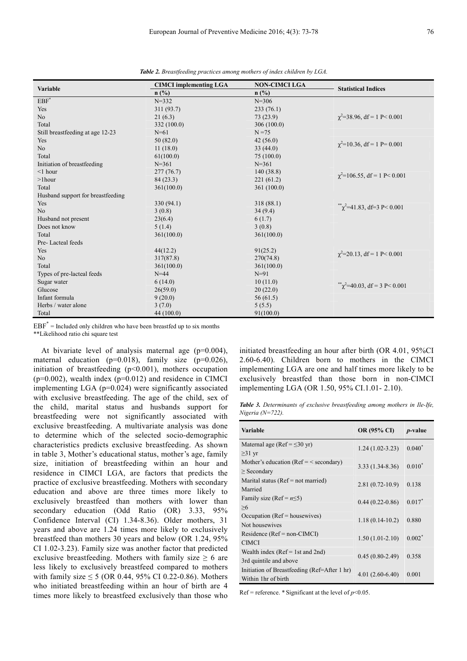| Variable                          | <b>CIMCI</b> implementing LGA | <b>NON-CIMCI LGA</b> | <b>Statistical Indices</b>              |  |
|-----------------------------------|-------------------------------|----------------------|-----------------------------------------|--|
|                                   | n(%)                          | $n$ (%)              |                                         |  |
| $EBF^*$                           | $N = 332$                     | $N = 306$            |                                         |  |
| Yes                               | 311 (93.7)                    | 233(76.1)            |                                         |  |
| N <sub>o</sub>                    | 21(6.3)                       | 73(23.9)             | $\chi^2$ =38.96, df = 1 P < 0.001       |  |
| Total                             | 332 (100.0)                   | 306(100.0)           |                                         |  |
| Still breastfeeding at age 12-23  | $N = 61$                      | $N = 75$             |                                         |  |
| Yes                               | 50(82.0)                      | 42(56.0)             |                                         |  |
| No                                | 11(18.0)                      | 33(44.0)             | $\chi^2$ =10.36, df = 1 P= 0.001        |  |
| Total                             | 61(100.0)                     | 75 (100.0)           |                                         |  |
| Initiation of breastfeeding       | $N = 361$                     | $N = 361$            |                                         |  |
| $\leq$ 1 hour                     | 277(76.7)                     | 140(38.8)            | $\chi^2$ =106.55, df = 1 P < 0.001      |  |
| $>1$ hour                         | 84(23.3)                      | 221(61.2)            |                                         |  |
| Total                             | 361(100.0)                    | 361 (100.0)          |                                         |  |
| Husband support for breastfeeding |                               |                      |                                         |  |
| Yes                               | 330 (94.1)                    | 318 (88.1)           |                                         |  |
| N <sub>o</sub>                    | 3(0.8)                        | 34(9.4)              | $\sqrt[3*]{2}$ =41.83, df = 3 P < 0.001 |  |
| Husband not present               | 23(6.4)                       | 6(1.7)               |                                         |  |
| Does not know                     | 5(1.4)                        | 3(0.8)               |                                         |  |
| Total                             | 361(100.0)                    | 361(100.0)           |                                         |  |
| Pre-Lacteal feeds                 |                               |                      |                                         |  |
| Yes                               | 44(12.2)                      | 91(25.2)             |                                         |  |
| No                                | 317(87.8)                     | 270(74.8)            | $\chi^2$ =20.13, df = 1 P< 0.001        |  |
| Total                             | 361(100.0)                    | 361(100.0)           |                                         |  |
| Types of pre-lacteal feeds        | $N=44$                        | $N=91$               |                                         |  |
| Sugar water                       | 6(14.0)                       | 10(11.0)             |                                         |  |
| Glucose                           | 26(59.0)                      | 20(22.0)             | $\sqrt[3*]{2}$ =40.03, df = 3 P < 0.001 |  |
| Infant formula                    | 9(20.0)                       | 56(61.5)             |                                         |  |
| Herbs / water alone               | 3(7.0)                        | 5(5.5)               |                                         |  |
| Total                             | 44 (100.0)                    | 91(100.0)            |                                         |  |

*Table 2. Breastfeeding practices among mothers of index children by LGA.* 

 $EBF^*$  = Included only children who have been breastfed up to six months

\*\*Likelihood ratio chi square test

At bivariate level of analysis maternal age (p=0.004), maternal education ( $p=0.018$ ), family size ( $p=0.026$ ), initiation of breastfeeding (p<0.001), mothers occupation  $(p=0.002)$ , wealth index  $(p=0.012)$  and residence in CIMCI implementing LGA (p=0.024) were significantly associated with exclusive breastfeeding. The age of the child, sex of the child, marital status and husbands support for breastfeeding were not significantly associated with exclusive breastfeeding. A multivariate analysis was done to determine which of the selected socio-demographic characteristics predicts exclusive breastfeeding. As shown in table 3, Mother's educational status, mother's age, family size, initiation of breastfeeding within an hour and residence in CIMCI LGA, are factors that predicts the practice of exclusive breastfeeding. Mothers with secondary education and above are three times more likely to exclusively breastfeed than mothers with lower than secondary education (Odd Ratio (OR) 3.33, 95% Confidence Interval (CI) 1.34-8.36). Older mothers, 31 years and above are 1.24 times more likely to exclusively breastfeed than mothers 30 years and below (OR 1.24, 95% CI 1.02-3.23). Family size was another factor that predicted exclusive breastfeeding. Mothers with family size  $\geq 6$  are less likely to exclusively breastfeed compared to mothers with family size  $\leq$  5 (OR 0.44, 95% CI 0.22-0.86). Mothers who initiated breastfeeding within an hour of birth are 4 times more likely to breastfeed exclusively than those who initiated breastfeeding an hour after birth (OR 4.01, 95%CI 2.60-6.40). Children born to mothers in the CIMCI implementing LGA are one and half times more likely to be exclusively breastfed than those born in non-CIMCI implementing LGA (OR 1.50, 95% CI.1.01- 2.10).

*Table 3. Determinants of exclusive breastfeeding among mothers in Ile-Ife, Nigeria (N=722).* 

| <b>Variable</b>                              | OR (95% CI)         | <i>p</i> -value |
|----------------------------------------------|---------------------|-----------------|
| Maternal age (Ref = $\leq$ 30 yr)            | $1.24(1.02-3.23)$   | $0.040^*$       |
| $\geq$ 31 yr                                 |                     |                 |
| Mother's education ( $Ref = <$ secondary)    | $3.33(1.34 - 8.36)$ | $0.010*$        |
| $\ge$ Secondary                              |                     |                 |
| Marital status ( $Ref = not married$ )       | $2.81(0.72-10.9)$   | 0.138           |
| Married                                      |                     |                 |
| Family size (Ref = $n \le 5$ )               | $0.44(0.22-0.86)$   | $0.017*$        |
| $\geq 6$                                     |                     |                 |
| Occupation ( $Ref =$ housewives)             | $1.18(0.14-10.2)$   | 0.880           |
| Not housewives                               |                     |                 |
| $Residence (Ref = non-ClMCI)$                | $1.50(1.01-2.10)$   | $0.002*$        |
| <b>CIMCI</b>                                 |                     |                 |
| Wealth index ( $Ref = 1st$ and $2nd$ )       | $0.45(0.80-2.49)$   | 0.358           |
| 3rd quintile and above                       |                     |                 |
| Initiation of Breastfeeding (Ref=After 1 hr) | $4.01(2.60-6.40)$   | 0.001           |
| Within 1hr of birth                          |                     |                 |

Ref = reference.  $*$  Significant at the level of  $p<0.05$ .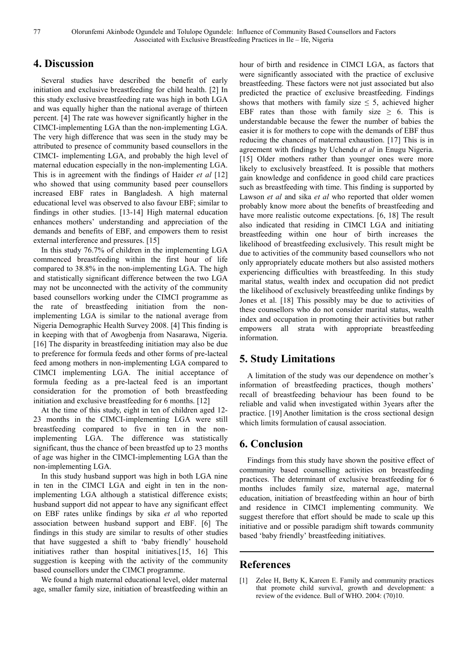### **4. Discussion**

Several studies have described the benefit of early initiation and exclusive breastfeeding for child health. [2] In this study exclusive breastfeeding rate was high in both LGA and was equally higher than the national average of thirteen percent. [4] The rate was however significantly higher in the CIMCI-implementing LGA than the non-implementing LGA. The very high difference that was seen in the study may be attributed to presence of community based counsellors in the CIMCI- implementing LGA, and probably the high level of maternal education especially in the non-implementing LGA. This is in agreement with the findings of Haider *et al* [12] who showed that using community based peer counsellors increased EBF rates in Bangladesh. A high maternal educational level was observed to also favour EBF; similar to findings in other studies. [13-14] High maternal education enhances mothers' understanding and appreciation of the demands and benefits of EBF, and empowers them to resist external interference and pressures. [15]

In this study 76.7% of children in the implementing LGA commenced breastfeeding within the first hour of life compared to 38.8% in the non-implementing LGA. The high and statistically significant difference between the two LGA may not be unconnected with the activity of the community based counsellors working under the CIMCI programme as the rate of breastfeeding initiation from the nonimplementing LGA is similar to the national average from Nigeria Demographic Health Survey 2008. [4] This finding is in keeping with that of Awogbenja from Nasarawa, Nigeria. [16] The disparity in breastfeeding initiation may also be due to preference for formula feeds and other forms of pre-lacteal feed among mothers in non-implementing LGA compared to CIMCI implementing LGA. The initial acceptance of formula feeding as a pre-lacteal feed is an important consideration for the promotion of both breastfeeding initiation and exclusive breastfeeding for 6 months. [12]

At the time of this study, eight in ten of children aged 12- 23 months in the CIMCI-implementing LGA were still breastfeeding compared to five in ten in the nonimplementing LGA. The difference was statistically significant, thus the chance of been breastfed up to 23 months of age was higher in the CIMCI-implementing LGA than the non-implementing LGA.

In this study husband support was high in both LGA nine in ten in the CIMCI LGA and eight in ten in the nonimplementing LGA although a statistical difference exists; husband support did not appear to have any significant effect on EBF rates unlike findings by sika *et a*l who reported association between husband support and EBF. [6] The findings in this study are similar to results of other studies that have suggested a shift to 'baby friendly' household initiatives rather than hospital initiatives.[15, 16] This suggestion is keeping with the activity of the community based counsellors under the CIMCI programme.

We found a high maternal educational level, older maternal age, smaller family size, initiation of breastfeeding within an hour of birth and residence in CIMCI LGA, as factors that were significantly associated with the practice of exclusive breastfeeding. These factors were not just associated but also predicted the practice of exclusive breastfeeding. Findings shows that mothers with family size  $\leq$  5, achieved higher EBF rates than those with family size  $\geq$  6. This is understandable because the fewer the number of babies the easier it is for mothers to cope with the demands of EBF thus reducing the chances of maternal exhaustion. [17] This is in agreement with findings by Uchendu *et al* in Enugu Nigeria. [15] Older mothers rather than younger ones were more likely to exclusively breastfeed. It is possible that mothers gain knowledge and confidence in good child care practices such as breastfeeding with time. This finding is supported by Lawson *et al* and sika *et al* who reported that older women probably know more about the benefits of breastfeeding and have more realistic outcome expectations. [6, 18] The result also indicated that residing in CIMCI LGA and initiating breastfeeding within one hour of birth increases the likelihood of breastfeeding exclusively. This result might be due to activities of the community based counsellors who not only appropriately educate mothers but also assisted mothers experiencing difficulties with breastfeeding. In this study marital status, wealth index and occupation did not predict the likelihood of exclusively breastfeeding unlike findings by Jones et al. [18] This possibly may be due to activities of these counsellors who do not consider marital status, wealth index and occupation in promoting their activities but rather empowers all strata with appropriate breastfeeding information.

# **5. Study Limitations**

A limitation of the study was our dependence on mother's information of breastfeeding practices, though mothers' recall of breastfeeding behaviour has been found to be reliable and valid when investigated within 3years after the practice. [19] Another limitation is the cross sectional design which limits formulation of causal association.

### **6. Conclusion**

Findings from this study have shown the positive effect of community based counselling activities on breastfeeding practices. The determinant of exclusive breastfeeding for 6 months includes family size, maternal age, maternal education, initiation of breastfeeding within an hour of birth and residence in CIMCI implementing community. We suggest therefore that effort should be made to scale up this initiative and or possible paradigm shift towards community based 'baby friendly' breastfeeding initiatives.

### **References**

[1] Zelee H, Betty K, Kareen E. Family and community practices that promote child survival, growth and development: a review of the evidence. Bull of WHO. 2004: (70)10.